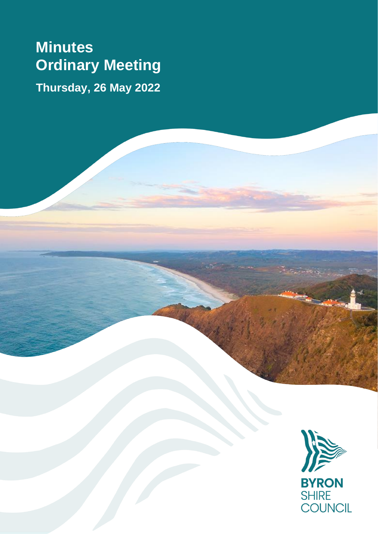# **Minutes Ordinary Meeting Thursday, 26 May 2022**

**BYRON** SHIRE<br>COUNCIL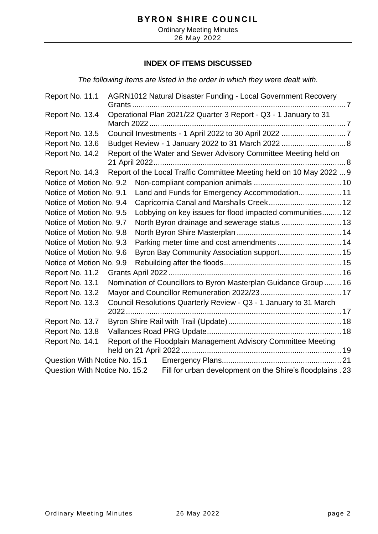Ordinary Meeting Minutes 26 May 2022

## **INDEX OF ITEMS DISCUSSED**

*The following items are listed in the order in which they were dealt with.*

| Report No. 11.1               |               | AGRN1012 Natural Disaster Funding - Local Government Recovery        |  |
|-------------------------------|---------------|----------------------------------------------------------------------|--|
| Report No. 13.4               |               | Operational Plan 2021/22 Quarter 3 Report - Q3 - 1 January to 31     |  |
| Report No. 13.5               |               |                                                                      |  |
| Report No. 13.6               |               | Budget Review - 1 January 2022 to 31 March 2022  8                   |  |
| Report No. 14.2               | 21 April 2022 | Report of the Water and Sewer Advisory Committee Meeting held on     |  |
| Report No. 14.3               |               | Report of the Local Traffic Committee Meeting held on 10 May 2022  9 |  |
| Notice of Motion No. 9.2      |               |                                                                      |  |
| Notice of Motion No. 9.1      |               | Land and Funds for Emergency Accommodation 11                        |  |
| Notice of Motion No. 9.4      |               |                                                                      |  |
| Notice of Motion No. 9.5      |               | Lobbying on key issues for flood impacted communities 12             |  |
| Notice of Motion No. 9.7      |               |                                                                      |  |
| Notice of Motion No. 9.8      |               |                                                                      |  |
| Notice of Motion No. 9.3      |               | Parking meter time and cost amendments  14                           |  |
| Notice of Motion No. 9.6      |               | Byron Bay Community Association support 15                           |  |
| Notice of Motion No. 9.9      |               |                                                                      |  |
| Report No. 11.2               |               |                                                                      |  |
| Report No. 13.1               |               | Nomination of Councillors to Byron Masterplan Guidance Group  16     |  |
| Report No. 13.2               |               |                                                                      |  |
| Report No. 13.3               |               | Council Resolutions Quarterly Review - Q3 - 1 January to 31 March    |  |
| Report No. 13.7               |               |                                                                      |  |
| Report No. 13.8               |               |                                                                      |  |
| Report No. 14.1               |               | Report of the Floodplain Management Advisory Committee Meeting       |  |
| Question With Notice No. 15.1 |               |                                                                      |  |
| Question With Notice No. 15.2 |               | Fill for urban development on the Shire's floodplains . 23           |  |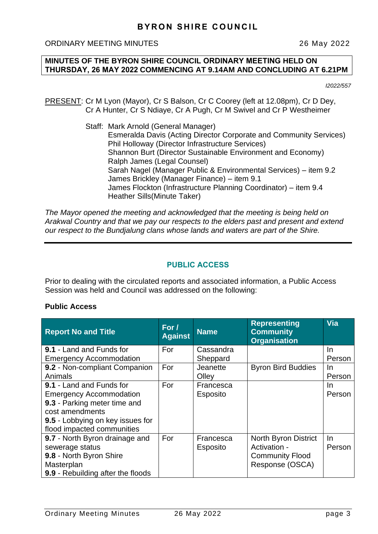## **MINUTES OF THE BYRON SHIRE COUNCIL ORDINARY MEETING HELD ON THURSDAY, 26 MAY 2022 COMMENCING AT 9.14AM AND CONCLUDING AT 6.21PM**

*I2022/557*

PRESENT: Cr M Lyon (Mayor), Cr S Balson, Cr C Coorey (left at 12.08pm), Cr D Dey, Cr A Hunter, Cr S Ndiaye, Cr A Pugh, Cr M Swivel and Cr P Westheimer

> Staff: Mark Arnold (General Manager) Esmeralda Davis (Acting Director Corporate and Community Services) Phil Holloway (Director Infrastructure Services) Shannon Burt (Director Sustainable Environment and Economy) Ralph James (Legal Counsel) Sarah Nagel (Manager Public & Environmental Services) – item 9.2 James Brickley (Manager Finance) – item 9.1 James Flockton (Infrastructure Planning Coordinator) – item 9.4 Heather Sills(Minute Taker)

*The Mayor opened the meeting and acknowledged that the meeting is being held on Arakwal Country and that we pay our respects to the elders past and present and extend our respect to the Bundjalung clans whose lands and waters are part of the Shire.*

## **PUBLIC ACCESS**

Prior to dealing with the circulated reports and associated information, a Public Access Session was held and Council was addressed on the following:

## **Public Access**

| <b>Report No and Title</b>        | For $\prime$<br><b>Against</b> | <b>Name</b>     | <b>Representing</b><br><b>Community</b><br><b>Organisation</b> | Via    |
|-----------------------------------|--------------------------------|-----------------|----------------------------------------------------------------|--------|
| <b>9.1 - Land and Funds for</b>   | For                            | Cassandra       |                                                                | In.    |
| <b>Emergency Accommodation</b>    |                                | Sheppard        |                                                                | Person |
| 9.2 - Non-compliant Companion     | For                            | Jeanette        | <b>Byron Bird Buddies</b>                                      | In.    |
| Animals                           |                                | Olley           |                                                                | Person |
| 9.1 - Land and Funds for          | For                            | Francesca       |                                                                | In.    |
| <b>Emergency Accommodation</b>    |                                | Esposito        |                                                                | Person |
| 9.3 - Parking meter time and      |                                |                 |                                                                |        |
| cost amendments                   |                                |                 |                                                                |        |
| 9.5 - Lobbying on key issues for  |                                |                 |                                                                |        |
| flood impacted communities        |                                |                 |                                                                |        |
| 9.7 - North Byron drainage and    | For                            | Francesca       | <b>North Byron District</b>                                    | In.    |
| sewerage status                   |                                | <b>Esposito</b> | Activation -                                                   | Person |
| 9.8 - North Byron Shire           |                                |                 | <b>Community Flood</b>                                         |        |
| Masterplan                        |                                |                 | Response (OSCA)                                                |        |
| 9.9 - Rebuilding after the floods |                                |                 |                                                                |        |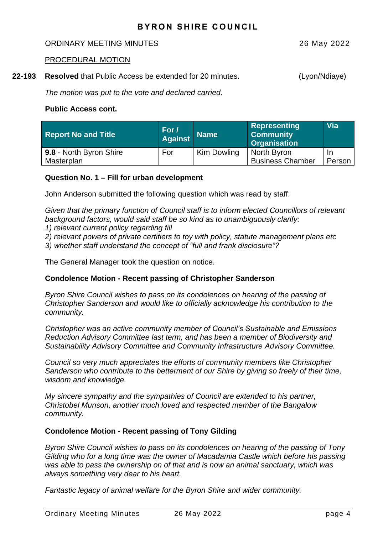#### ORDINARY MEETING MINUTES 26 May 2022

#### PROCEDURAL MOTION

**22-193 Resolved** that Public Access be extended for 20 minutes. (Lyon/Ndiaye)

*The motion was put to the vote and declared carried.*

#### **Public Access cont.**

| <b>Report No and Title</b> | For /<br><b>Against</b> | <b>Name</b> | Representing<br><b>Community</b><br><b>Organisation</b> | <b>Via</b> |
|----------------------------|-------------------------|-------------|---------------------------------------------------------|------------|
| 9.8 - North Byron Shire    | For                     | Kim Dowling | North Byron                                             | -In        |
| Masterplan                 |                         |             | <b>Business Chamber</b>                                 | Person     |

## **Question No. 1 – Fill for urban development**

John Anderson submitted the following question which was read by staff:

*Given that the primary function of Council staff is to inform elected Councillors of relevant background factors, would said staff be so kind as to unambiguously clarify:*

*1) relevant current policy regarding fill*

*2) relevant powers of private certifiers to toy with policy, statute management plans etc 3) whether staff understand the concept of "full and frank disclosure"?*

The General Manager took the question on notice.

## **Condolence Motion - Recent passing of Christopher Sanderson**

*Byron Shire Council wishes to pass on its condolences on hearing of the passing of Christopher Sanderson and would like to officially acknowledge his contribution to the community.*

*Christopher was an active community member of Council's Sustainable and Emissions Reduction Advisory Committee last term, and has been a member of Biodiversity and Sustainability Advisory Committee and Community Infrastructure Advisory Committee.*

*Council so very much appreciates the efforts of community members like Christopher Sanderson who contribute to the betterment of our Shire by giving so freely of their time, wisdom and knowledge.*

*My sincere sympathy and the sympathies of Council are extended to his partner, Christobel Munson, another much loved and respected member of the Bangalow community.*

## **Condolence Motion - Recent passing of Tony Gilding**

*Byron Shire Council wishes to pass on its condolences on hearing of the passing of Tony Gilding who for a long time was the owner of Macadamia Castle which before his passing was able to pass the ownership on of that and is now an animal sanctuary, which was always something very dear to his heart.*

*Fantastic legacy of animal welfare for the Byron Shire and wider community.*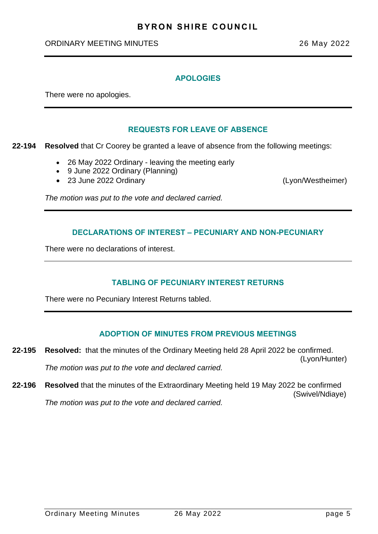#### ORDINARY MEETING MINUTES 26 May 2022

#### **APOLOGIES**

There were no apologies.

## **REQUESTS FOR LEAVE OF ABSENCE**

**22-194 Resolved** that Cr Coorey be granted a leave of absence from the following meetings:

- 26 May 2022 Ordinary leaving the meeting early
- 9 June 2022 Ordinary (Planning)
- 23 June 2022 Ordinary (Lyon/Westheimer)

*The motion was put to the vote and declared carried.*

## **DECLARATIONS OF INTEREST – PECUNIARY AND NON-PECUNIARY**

There were no declarations of interest.

## **TABLING OF PECUNIARY INTEREST RETURNS**

There were no Pecuniary Interest Returns tabled.

## **ADOPTION OF MINUTES FROM PREVIOUS MEETINGS**

- **22-195 Resolved:** that the minutes of the Ordinary Meeting held 28 April 2022 be confirmed. (Lyon/Hunter) *The motion was put to the vote and declared carried.*
- **22-196 Resolved** that the minutes of the Extraordinary Meeting held 19 May 2022 be confirmed (Swivel/Ndiaye) *The motion was put to the vote and declared carried.*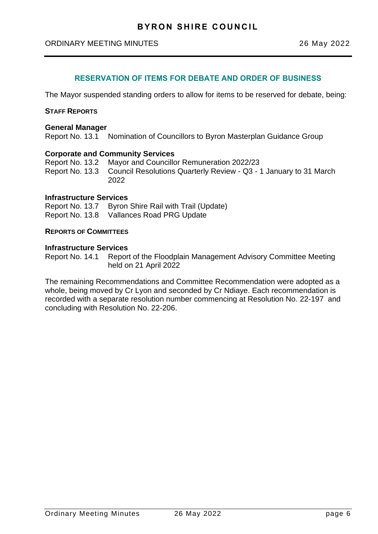## **RESERVATION OF ITEMS FOR DEBATE AND ORDER OF BUSINESS**

The Mayor suspended standing orders to allow for items to be reserved for debate, being:

#### **STAFF REPORTS**

#### **General Manager**

Report No. 13.1 Nomination of Councillors to Byron Masterplan Guidance Group

#### **Corporate and Community Services**

Report No. 13.2 Mayor and Councillor Remuneration 2022/23 Report No. 13.3 Council Resolutions Quarterly Review - Q3 - 1 January to 31 March 2022

#### **Infrastructure Services**

Report No. 13.7 Byron Shire Rail with Trail (Update) Report No. 13.8 Vallances Road PRG Update

#### **REPORTS OF COMMITTEES**

#### **Infrastructure Services**

Report No. 14.1 Report of the Floodplain Management Advisory Committee Meeting held on 21 April 2022

The remaining Recommendations and Committee Recommendation were adopted as a whole, being moved by Cr Lyon and seconded by Cr Ndiaye. Each recommendation is recorded with a separate resolution number commencing at Resolution No. 22-197 and concluding with Resolution No. 22-206.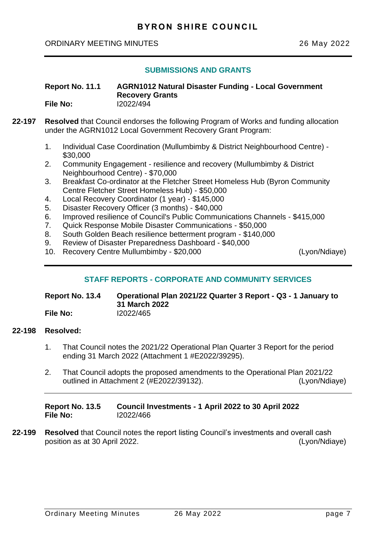## **SUBMISSIONS AND GRANTS**

<span id="page-6-0"></span>**Report No. 11.1 AGRN1012 Natural Disaster Funding - Local Government Recovery Grants File No:** I2022/494

- **22-197 Resolved** that Council endorses the following Program of Works and funding allocation under the AGRN1012 Local Government Recovery Grant Program:
	- 1. Individual Case Coordination (Mullumbimby & District Neighbourhood Centre) \$30,000
	- 2. Community Engagement resilience and recovery (Mullumbimby & District Neighbourhood Centre) - \$70,000
	- 3. Breakfast Co-ordinator at the Fletcher Street Homeless Hub (Byron Community Centre Fletcher Street Homeless Hub) - \$50,000
	- 4. Local Recovery Coordinator (1 year) \$145,000
	- 5. Disaster Recovery Officer (3 months) \$40,000
	- 6. Improved resilience of Council's Public Communications Channels \$415,000
	- 7. Quick Response Mobile Disaster Communications \$50,000
	- 8. South Golden Beach resilience betterment program \$140,000
	- 9. Review of Disaster Preparedness Dashboard \$40,000
	- 10. Recovery Centre Mullumbimby \$20,000 (Lyon/Ndiaye)

## **STAFF REPORTS - CORPORATE AND COMMUNITY SERVICES**

**Report No. 13.4 Operational Plan 2021/22 Quarter 3 Report - Q3 - 1 January to 31 March 2022 File No:** I2022/465

## **22-198 Resolved:**

- 1. That Council notes the 2021/22 Operational Plan Quarter 3 Report for the period ending 31 March 2022 (Attachment 1 #E2022/39295).
- 2. That Council adopts the proposed amendments to the Operational Plan 2021/22 outlined in Attachment 2 (#E2022/39132). (Lyon/Ndiaye)

| Report No. 13.5 | Council Investments - 1 April 2022 to 30 April 2022 |
|-----------------|-----------------------------------------------------|
| File No:        | 12022/466                                           |

**22-199 Resolved** that Council notes the report listing Council's investments and overall cash position as at 30 April 2022. (Lyon/Ndiaye)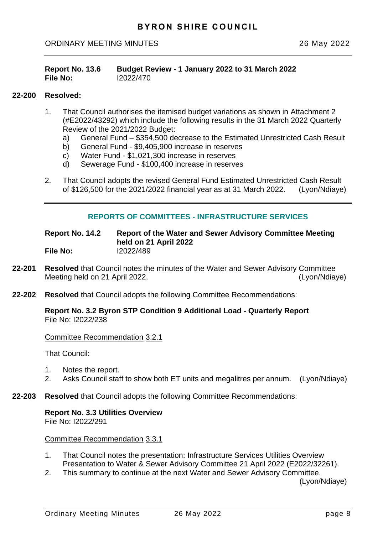<span id="page-7-0"></span>

| <b>Report No. 13.6</b> | Budget Review - 1 January 2022 to 31 March 2022 |
|------------------------|-------------------------------------------------|
| <b>File No:</b>        | 12022/470                                       |

#### **22-200 Resolved:**

- 1. That Council authorises the itemised budget variations as shown in Attachment 2 (#E2022/43292) which include the following results in the 31 March 2022 Quarterly Review of the 2021/2022 Budget:
	- a) General Fund \$354,500 decrease to the Estimated Unrestricted Cash Result
	- b) General Fund \$9,405,900 increase in reserves
	- c) Water Fund \$1,021,300 increase in reserves
	- d) Sewerage Fund \$100,400 increase in reserves
- 2. That Council adopts the revised General Fund Estimated Unrestricted Cash Result of \$126,500 for the 2021/2022 financial year as at 31 March 2022. (Lyon/Ndiaye)

## **REPORTS OF COMMITTEES - INFRASTRUCTURE SERVICES**

**Report No. 14.2 Report of the Water and Sewer Advisory Committee Meeting held on 21 April 2022 File No:** I2022/489

- **22-201 Resolved** that Council notes the minutes of the Water and Sewer Advisory Committee Meeting held on 21 April 2022. (Lyon/Ndiaye)
- **22-202 Resolved** that Council adopts the following Committee Recommendations:

**Report No. 3.2 Byron STP Condition 9 Additional Load - Quarterly Report** File No: I2022/238

Committee Recommendation 3.2.1

That Council:

- 1. Notes the report.
- 2. Asks Council staff to show both ET units and megalitres per annum. (Lyon/Ndiaye)
- **22-203 Resolved** that Council adopts the following Committee Recommendations:

# **Report No. 3.3 Utilities Overview**

File No: I2022/291

Committee Recommendation 3.3.1

- 1. That Council notes the presentation: Infrastructure Services Utilities Overview Presentation to Water & Sewer Advisory Committee 21 April 2022 (E2022/32261).
- 2. This summary to continue at the next Water and Sewer Advisory Committee.

(Lyon/Ndiaye)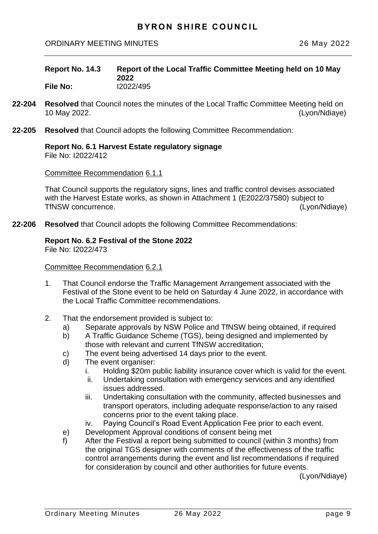<span id="page-8-0"></span>

| Report No. 14.3 | Report of the Local Traffic Committee Meeting held on 10 May<br>2022 |
|-----------------|----------------------------------------------------------------------|
| <b>File No:</b> | I2022/495                                                            |

- **22-204 Resolved** that Council notes the minutes of the Local Traffic Committee Meeting held on 10 May 2022. (Lyon/Ndiaye)
- **22-205 Resolved** that Council adopts the following Committee Recommendation:

#### **Report No. 6.1 Harvest Estate regulatory signage** File No: I2022/412

Committee Recommendation 6.1.1

That Council supports the regulatory signs, lines and traffic control devises associated with the Harvest Estate works, as shown in Attachment 1 (E2022/37580) subject to TfNSW concurrence. (Lyon/Ndiaye)

**22-206 Resolved** that Council adopts the following Committee Recommendations:

## **Report No. 6.2 Festival of the Stone 2022**

File No: I2022/473

#### Committee Recommendation 6.2.1

- 1. That Council endorse the Traffic Management Arrangement associated with the Festival of the Stone event to be held on Saturday 4 June 2022, in accordance with the Local Traffic Committee recommendations.
- 2. That the endorsement provided is subject to:
	- a) Separate approvals by NSW Police and TfNSW being obtained, if required
	- b) A Traffic Guidance Scheme (TGS), being designed and implemented by those with relevant and current TfNSW accreditation;
	- c) The event being advertised 14 days prior to the event.
	- d) The event organiser:
		- i. Holding \$20m public liability insurance cover which is valid for the event.
		- ii. Undertaking consultation with emergency services and any identified issues addressed.
		- iii. Undertaking consultation with the community, affected businesses and transport operators, including adequate response/action to any raised concerns prior to the event taking place.
		- iv. Paying Council's Road Event Application Fee prior to each event.
	- e) Development Approval conditions of consent being met
	- f) After the Festival a report being submitted to council (within 3 months) from the original TGS designer with comments of the effectiveness of the traffic control arrangements during the event and list recommendations if required for consideration by council and other authorities for future events.

(Lyon/Ndiaye)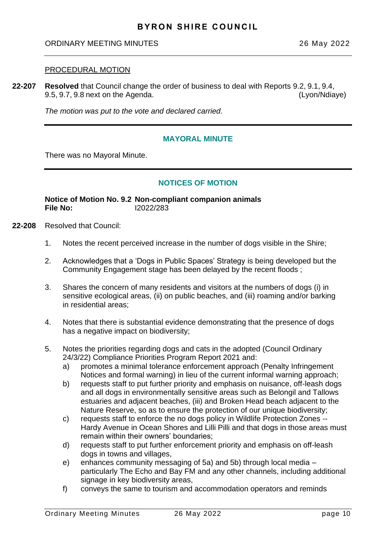#### <span id="page-9-0"></span>PROCEDURAL MOTION

**22-207 Resolved** that Council change the order of business to deal with Reports 9.2, 9.1, 9.4, 9.5, 9.7, 9.8 next on the Agenda. (Lyon/Ndiaye)

*The motion was put to the vote and declared carried.*

## **MAYORAL MINUTE**

There was no Mayoral Minute.

## **NOTICES OF MOTION**

**Notice of Motion No. 9.2 Non-compliant companion animals File No:** I2022/283

- **22-208** Resolved that Council:
	- 1. Notes the recent perceived increase in the number of dogs visible in the Shire;
	- 2. Acknowledges that a 'Dogs in Public Spaces' Strategy is being developed but the Community Engagement stage has been delayed by the recent floods ;
	- 3. Shares the concern of many residents and visitors at the numbers of dogs (i) in sensitive ecological areas, (ii) on public beaches, and (iii) roaming and/or barking in residential areas;
	- 4. Notes that there is substantial evidence demonstrating that the presence of dogs has a negative impact on biodiversity:
	- 5. Notes the priorities regarding dogs and cats in the adopted (Council Ordinary 24/3/22) Compliance Priorities Program Report 2021 and:
		- a) promotes a minimal tolerance enforcement approach (Penalty Infringement Notices and formal warning) in lieu of the current informal warning approach;
		- b) requests staff to put further priority and emphasis on nuisance, off-leash dogs and all dogs in environmentally sensitive areas such as Belongil and Tallows estuaries and adjacent beaches, (iii) and Broken Head beach adjacent to the Nature Reserve, so as to ensure the protection of our unique biodiversity;
		- c) requests staff to enforce the no dogs policy in Wildlife Protection Zones -- Hardy Avenue in Ocean Shores and Lilli Pilli and that dogs in those areas must remain within their owners' boundaries;
		- d) requests staff to put further enforcement priority and emphasis on off-leash dogs in towns and villages,
		- e) enhances community messaging of 5a) and 5b) through local media particularly The Echo and Bay FM and any other channels, including additional signage in key biodiversity areas,
		- f) conveys the same to tourism and accommodation operators and reminds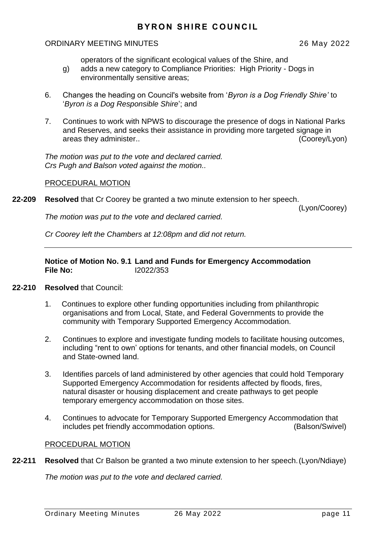operators of the significant ecological values of the Shire, and

- <span id="page-10-0"></span>g) adds a new category to Compliance Priorities: High Priority - Dogs in environmentally sensitive areas;
- 6. Changes the heading on Council's website from '*Byron is a Dog Friendly Shire'* to '*Byron is a Dog Responsible Shire*'; and
- 7. Continues to work with NPWS to discourage the presence of dogs in National Parks and Reserves, and seeks their assistance in providing more targeted signage in areas they administer.. (Coorey/Lyon)

*The motion was put to the vote and declared carried. Crs Pugh and Balson voted against the motion..*

## PROCEDURAL MOTION

**22-209 Resolved** that Cr Coorey be granted a two minute extension to her speech.

(Lyon/Coorey)

*The motion was put to the vote and declared carried.*

*Cr Coorey left the Chambers at 12:08pm and did not return.*

## **Notice of Motion No. 9.1 Land and Funds for Emergency Accommodation File No:** I2022/353

## **22-210 Resolved** that Council:

- 1. Continues to explore other funding opportunities including from philanthropic organisations and from Local, State, and Federal Governments to provide the community with Temporary Supported Emergency Accommodation.
- 2. Continues to explore and investigate funding models to facilitate housing outcomes, including "rent to own' options for tenants, and other financial models, on Council and State-owned land.
- 3. Identifies parcels of land administered by other agencies that could hold Temporary Supported Emergency Accommodation for residents affected by floods, fires, natural disaster or housing displacement and create pathways to get people temporary emergency accommodation on those sites.
- 4. Continues to advocate for Temporary Supported Emergency Accommodation that includes pet friendly accommodation options. (Balson/Swivel)

## PROCEDURAL MOTION

**22-211 Resolved** that Cr Balson be granted a two minute extension to her speech.(Lyon/Ndiaye)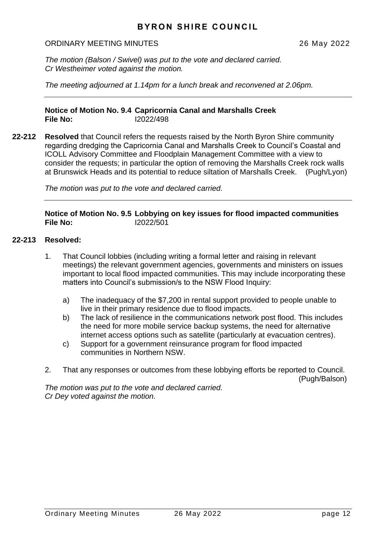#### <span id="page-11-0"></span>ORDINARY MEETING MINUTES 26 May 2022

*The motion (Balson / Swivel) was put to the vote and declared carried. Cr Westheimer voted against the motion.*

*The meeting adjourned at 1.14pm for a lunch break and reconvened at 2.06pm.*

**Notice of Motion No. 9.4 Capricornia Canal and Marshalls Creek File No:** I2022/498

**22-212 Resolved** that Council refers the requests raised by the North Byron Shire community regarding dredging the Capricornia Canal and Marshalls Creek to Council's Coastal and ICOLL Advisory Committee and Floodplain Management Committee with a view to consider the requests; in particular the option of removing the Marshalls Creek rock walls at Brunswick Heads and its potential to reduce siltation of Marshalls Creek. (Pugh/Lyon)

*The motion was put to the vote and declared carried.*

**Notice of Motion No. 9.5 Lobbying on key issues for flood impacted communities File No:** I2022/501

## **22-213 Resolved:**

- 1. That Council lobbies (including writing a formal letter and raising in relevant meetings) the relevant government agencies, governments and ministers on issues important to local flood impacted communities. This may include incorporating these matters into Council's submission/s to the NSW Flood Inquiry:
	- a) The inadequacy of the \$7,200 in rental support provided to people unable to live in their primary residence due to flood impacts.
	- b) The lack of resilience in the communications network post flood. This includes the need for more mobile service backup systems, the need for alternative internet access options such as satellite (particularly at evacuation centres).
	- c) Support for a government reinsurance program for flood impacted communities in Northern NSW.
- 2. That any responses or outcomes from these lobbying efforts be reported to Council. (Pugh/Balson)

*The motion was put to the vote and declared carried. Cr Dey voted against the motion.*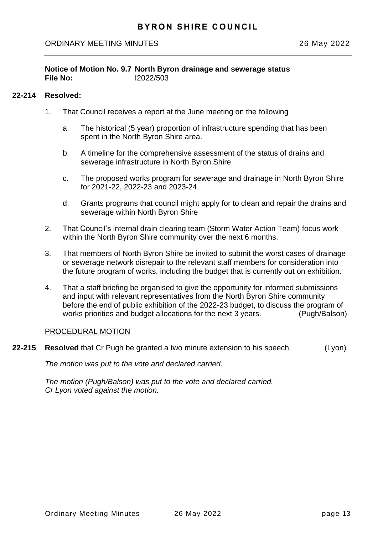## <span id="page-12-0"></span>**Notice of Motion No. 9.7 North Byron drainage and sewerage status File No:** I2022/503

## **22-214 Resolved:**

- 1. That Council receives a report at the June meeting on the following
	- a. The historical (5 year) proportion of infrastructure spending that has been spent in the North Byron Shire area.
	- b. A timeline for the comprehensive assessment of the status of drains and sewerage infrastructure in North Byron Shire
	- c. The proposed works program for sewerage and drainage in North Byron Shire for 2021-22, 2022-23 and 2023-24
	- d. Grants programs that council might apply for to clean and repair the drains and sewerage within North Byron Shire
- 2. That Council's internal drain clearing team (Storm Water Action Team) focus work within the North Byron Shire community over the next 6 months.
- 3. That members of North Byron Shire be invited to submit the worst cases of drainage or sewerage network disrepair to the relevant staff members for consideration into the future program of works, including the budget that is currently out on exhibition.
- 4. That a staff briefing be organised to give the opportunity for informed submissions and input with relevant representatives from the North Byron Shire community before the end of public exhibition of the 2022-23 budget, to discuss the program of works priorities and budget allocations for the next 3 years. (Pugh/Balson)

## PROCEDURAL MOTION

**22-215 Resolved** that Cr Pugh be granted a two minute extension to his speech. (Lyon)

*The motion was put to the vote and declared carried.*

*The motion (Pugh/Balson) was put to the vote and declared carried. Cr Lyon voted against the motion.*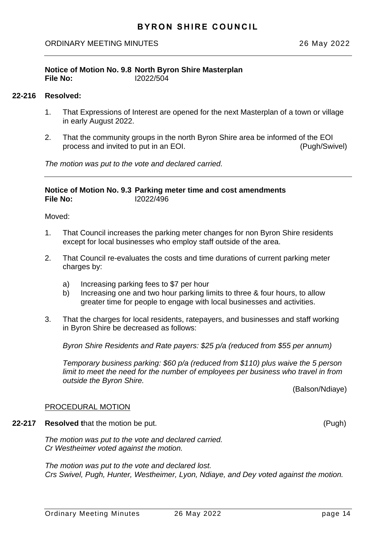## <span id="page-13-0"></span>**Notice of Motion No. 9.8 North Byron Shire Masterplan File No:** I2022/504

## **22-216 Resolved:**

- 1. That Expressions of Interest are opened for the next Masterplan of a town or village in early August 2022.
- 2. That the community groups in the north Byron Shire area be informed of the EOI process and invited to put in an EOI. (Pugh/Swivel)

*The motion was put to the vote and declared carried.*

#### **Notice of Motion No. 9.3 Parking meter time and cost amendments File No:** I2022/496

Moved:

- 1. That Council increases the parking meter changes for non Byron Shire residents except for local businesses who employ staff outside of the area.
- 2. That Council re-evaluates the costs and time durations of current parking meter charges by:
	- a) Increasing parking fees to \$7 per hour
	- b) Increasing one and two hour parking limits to three & four hours, to allow greater time for people to engage with local businesses and activities.
- 3. That the charges for local residents, ratepayers, and businesses and staff working in Byron Shire be decreased as follows:

*Byron Shire Residents and Rate payers: \$25 p/a (reduced from \$55 per annum)*

*Temporary business parking: \$60 p/a (reduced from \$110) plus waive the 5 person limit to meet the need for the number of employees per business who travel in from outside the Byron Shire.*

(Balson/Ndiaye)

#### PROCEDURAL MOTION

**22-217 Resolved t**hat the motion be put. (Pugh)

*The motion was put to the vote and declared carried. Cr Westheimer voted against the motion.*

*The motion was put to the vote and declared lost. Crs Swivel, Pugh, Hunter, Westheimer, Lyon, Ndiaye, and Dey voted against the motion.*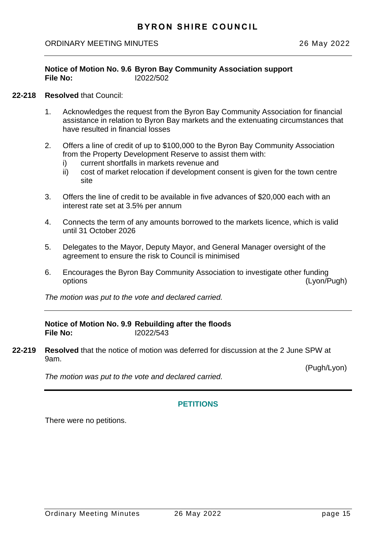#### <span id="page-14-0"></span>**Notice of Motion No. 9.6 Byron Bay Community Association support File No:** I2022/502

#### **22-218 Resolved** that Council:

- 1. Acknowledges the request from the Byron Bay Community Association for financial assistance in relation to Byron Bay markets and the extenuating circumstances that have resulted in financial losses
- 2. Offers a line of credit of up to \$100,000 to the Byron Bay Community Association from the Property Development Reserve to assist them with:
	- i) current shortfalls in markets revenue and
	- ii) cost of market relocation if development consent is given for the town centre site
- 3. Offers the line of credit to be available in five advances of \$20,000 each with an interest rate set at 3.5% per annum
- 4. Connects the term of any amounts borrowed to the markets licence, which is valid until 31 October 2026
- 5. Delegates to the Mayor, Deputy Mayor, and General Manager oversight of the agreement to ensure the risk to Council is minimised
- 6. Encourages the Byron Bay Community Association to investigate other funding options (Lyon/Pugh)

*The motion was put to the vote and declared carried.*

## **Notice of Motion No. 9.9 Rebuilding after the floods File No:** I2022/543

**22-219 Resolved** that the notice of motion was deferred for discussion at the 2 June SPW at 9am.

(Pugh/Lyon)

*The motion was put to the vote and declared carried.*

## **PETITIONS**

There were no petitions.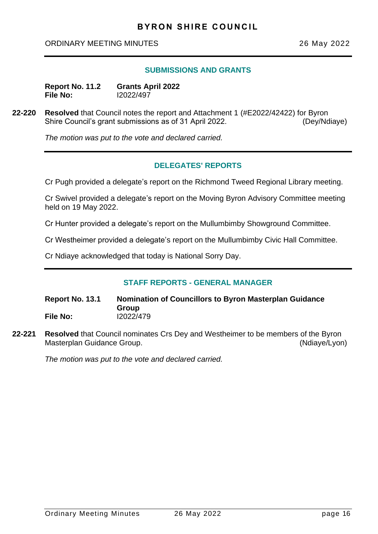#### **SUBMISSIONS AND GRANTS**

<span id="page-15-0"></span>

| Report No. 11.2 | <b>Grants April 2022</b> |
|-----------------|--------------------------|
| <b>File No:</b> | 12022/497                |

**22-220 Resolved** that Council notes the report and Attachment 1 (#E2022/42422) for Byron Shire Council's grant submissions as of 31 April 2022. (Dey/Ndiaye)

*The motion was put to the vote and declared carried.*

## **DELEGATES' REPORTS**

Cr Pugh provided a delegate's report on the Richmond Tweed Regional Library meeting.

Cr Swivel provided a delegate's report on the Moving Byron Advisory Committee meeting held on 19 May 2022.

Cr Hunter provided a delegate's report on the Mullumbimby Showground Committee.

Cr Westheimer provided a delegate's report on the Mullumbimby Civic Hall Committee.

Cr Ndiaye acknowledged that today is National Sorry Day.

## **STAFF REPORTS - GENERAL MANAGER**

**Report No. 13.1 Nomination of Councillors to Byron Masterplan Guidance Group File No:** I2022/479

**22-221 Resolved** that Council nominates Crs Dey and Westheimer to be members of the Byron Masterplan Guidance Group. (Ndiaye/Lyon)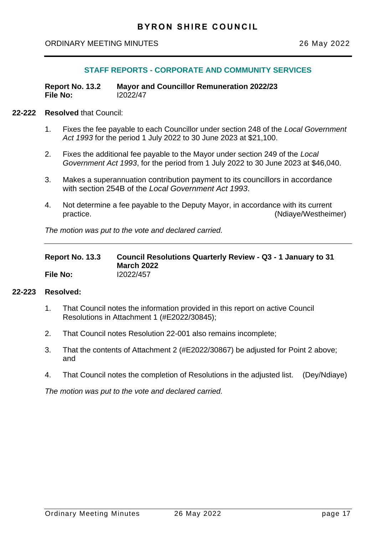## **STAFF REPORTS - CORPORATE AND COMMUNITY SERVICES**

<span id="page-16-0"></span>**Report No. 13.2 Mayor and Councillor Remuneration 2022/23 File No:** I2022/47

#### **22-222 Resolved** that Council:

- 1. Fixes the fee payable to each Councillor under section 248 of the *Local Government Act 1993* for the period 1 July 2022 to 30 June 2023 at \$21,100.
- 2. Fixes the additional fee payable to the Mayor under section 249 of the *Local Government Act 1993*, for the period from 1 July 2022 to 30 June 2023 at \$46,040.
- 3. Makes a superannuation contribution payment to its councillors in accordance with section 254B of the *Local Government Act 1993*.
- 4. Not determine a fee payable to the Deputy Mayor, in accordance with its current practice. (Ndiaye/Westheimer)

*The motion was put to the vote and declared carried.*

| Report No. 13.3 | Council Resolutions Quarterly Review - Q3 - 1 January to 31 |  |  |  |
|-----------------|-------------------------------------------------------------|--|--|--|
|                 | <b>March 2022</b>                                           |  |  |  |
| File No:        | 12022/457                                                   |  |  |  |

#### **22-223 Resolved:**

- 1. That Council notes the information provided in this report on active Council Resolutions in Attachment 1 (#E2022/30845);
- 2. That Council notes Resolution 22-001 also remains incomplete;
- 3. That the contents of Attachment 2 (#E2022/30867) be adjusted for Point 2 above; and
- 4. That Council notes the completion of Resolutions in the adjusted list. (Dey/Ndiaye)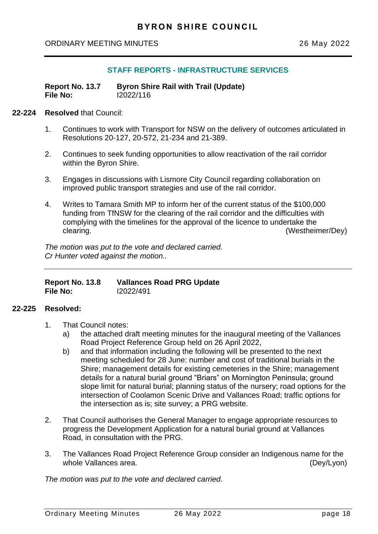## **STAFF REPORTS - INFRASTRUCTURE SERVICES**

<span id="page-17-0"></span>

| Report No. 13.7 | <b>Byron Shire Rail with Trail (Update)</b> |
|-----------------|---------------------------------------------|
| File No:        | 12022/116                                   |

#### **22-224 Resolved** that Council:

- 1. Continues to work with Transport for NSW on the delivery of outcomes articulated in Resolutions 20-127, 20-572, 21-234 and 21-389.
- 2. Continues to seek funding opportunities to allow reactivation of the rail corridor within the Byron Shire.
- 3. Engages in discussions with Lismore City Council regarding collaboration on improved public transport strategies and use of the rail corridor.
- 4. Writes to Tamara Smith MP to inform her of the current status of the \$100,000 funding from TfNSW for the clearing of the rail corridor and the difficulties with complying with the timelines for the approval of the licence to undertake the clearing. (Westheimer/Dey)

*The motion was put to the vote and declared carried. Cr Hunter voted against the motion..*

| Report No. 13.8 | <b>Vallances Road PRG Update</b> |
|-----------------|----------------------------------|
| <b>File No:</b> | 12022/491                        |

#### **22-225 Resolved:**

- 1. That Council notes:
	- a) the attached draft meeting minutes for the inaugural meeting of the Vallances Road Project Reference Group held on 26 April 2022,
	- b) and that information including the following will be presented to the next meeting scheduled for 28 June: number and cost of traditional burials in the Shire; management details for existing cemeteries in the Shire; management details for a natural burial ground "Briars" on Mornington Peninsula; ground slope limit for natural burial; planning status of the nursery; road options for the intersection of Coolamon Scenic Drive and Vallances Road; traffic options for the intersection as is; site survey; a PRG website.
- 2. That Council authorises the General Manager to engage appropriate resources to progress the Development Application for a natural burial ground at Vallances Road, in consultation with the PRG.
- 3. The Vallances Road Project Reference Group consider an Indigenous name for the whole Vallances area. (Dev/Lyon)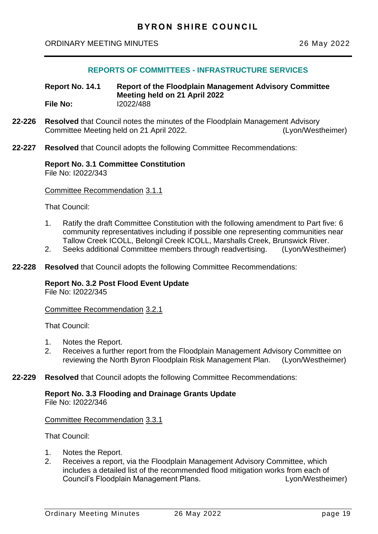## **REPORTS OF COMMITTEES - INFRASTRUCTURE SERVICES**

<span id="page-18-0"></span>**Report No. 14.1 Report of the Floodplain Management Advisory Committee Meeting held on 21 April 2022 File No:** I2022/488

- **22-226 Resolved** that Council notes the minutes of the Floodplain Management Advisory Committee Meeting held on 21 April 2022. (Lyon/Westheimer)
- **22-227 Resolved** that Council adopts the following Committee Recommendations:

# **Report No. 3.1 Committee Constitution**

File No: I2022/343

Committee Recommendation 3.1.1

That Council:

- 1. Ratify the draft Committee Constitution with the following amendment to Part five: 6 community representatives including if possible one representing communities near Tallow Creek ICOLL, Belongil Creek ICOLL, Marshalls Creek, Brunswick River.
- 2. Seeks additional Committee members through readvertising. (Lyon/Westheimer)
- **22-228 Resolved** that Council adopts the following Committee Recommendations:

#### **Report No. 3.2 Post Flood Event Update**

File No: I2022/345

Committee Recommendation 3.2.1

That Council:

- 1. Notes the Report.
- 2. Receives a further report from the Floodplain Management Advisory Committee on reviewing the North Byron Floodplain Risk Management Plan. (Lyon/Westheimer)
- **22-229 Resolved** that Council adopts the following Committee Recommendations:

**Report No. 3.3 Flooding and Drainage Grants Update** File No: I2022/346

Committee Recommendation 3.3.1

That Council:

- 1. Notes the Report.
- 2. Receives a report, via the Floodplain Management Advisory Committee, which includes a detailed list of the recommended flood mitigation works from each of Council's Floodplain Management Plans. Lyon/Westheimer)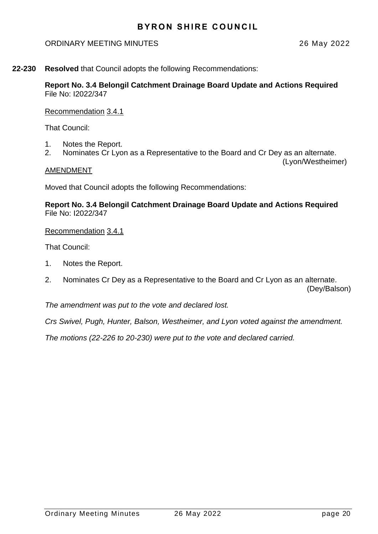## ORDINARY MEETING MINUTES 26 May 2022

(Lyon/Westheimer)

**22-230 Resolved** that Council adopts the following Recommendations:

**Report No. 3.4 Belongil Catchment Drainage Board Update and Actions Required** File No: I2022/347

Recommendation 3.4.1

That Council:

- 1. Notes the Report.
- 2. Nominates Cr Lyon as a Representative to the Board and Cr Dey as an alternate.

#### AMENDMENT

Moved that Council adopts the following Recommendations:

**Report No. 3.4 Belongil Catchment Drainage Board Update and Actions Required** File No: I2022/347

#### Recommendation 3.4.1

That Council:

- 1. Notes the Report.
- 2. Nominates Cr Dey as a Representative to the Board and Cr Lyon as an alternate. (Dey/Balson)

*The amendment was put to the vote and declared lost.*

*Crs Swivel, Pugh, Hunter, Balson, Westheimer, and Lyon voted against the amendment.*

*The motions (22-226 to 20-230) were put to the vote and declared carried.*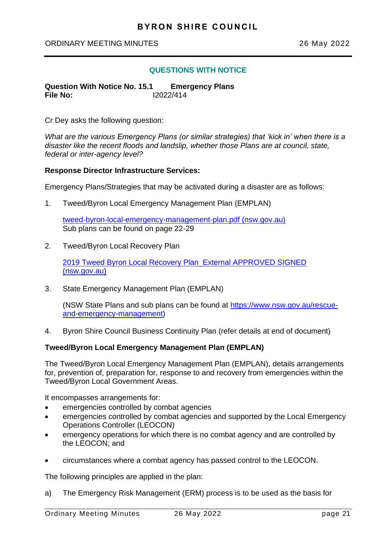#### <span id="page-20-0"></span>ORDINARY MEETING MINUTES 26 May 2022

## **QUESTIONS WITH NOTICE**

**Question With Notice No. 15.1 Emergency Plans File No:** I2022/414

Cr Dey asks the following question:

*What are the various Emergency Plans (or similar strategies) that 'kick in' when there is a disaster like the recent floods and landslip, whether those Plans are at council, state, federal or inter-agency level?*

#### **Response Director Infrastructure Services:**

Emergency Plans/Strategies that may be activated during a disaster are as follows:

1. Tweed/Byron Local Emergency Management Plan (EMPLAN)

[tweed-byron-local-emergency-management-plan.pdf \(nsw.gov.au\)](https://www.tweed.nsw.gov.au/files/assets/public/documents/council/strategies-and-plans/tweed-byron-local-emergency-management-plan.pdf) Sub plans can be found on page 22-29

2. Tweed/Byron Local Recovery Plan

[2019 Tweed Byron Local Recovery Plan\\_External APPROVED SIGNED](https://www.tweed.nsw.gov.au/files/assets/public/documents/council/strategies-and-plans/tweed-byron-local-recovery-plan-2019.pdf)  [\(nsw.gov.au\)](https://www.tweed.nsw.gov.au/files/assets/public/documents/council/strategies-and-plans/tweed-byron-local-recovery-plan-2019.pdf)

3. State Emergency Management Plan (EMPLAN)

(NSW State Plans and sub plans can be found at [https://www.nsw.gov.au/rescue](https://www.nsw.gov.au/rescue-and-emergency-management)[and-emergency-management\)](https://www.nsw.gov.au/rescue-and-emergency-management)

4. Byron Shire Council Business Continuity Plan (refer details at end of document)

## **Tweed/Byron Local Emergency Management Plan (EMPLAN)**

The Tweed/Byron Local Emergency Management Plan (EMPLAN), details arrangements for, prevention of, preparation for, response to and recovery from emergencies within the Tweed/Byron Local Government Areas.

It encompasses arrangements for:

- emergencies controlled by combat agencies
- emergencies controlled by combat agencies and supported by the Local Emergency Operations Controller (LEOCON)
- emergency operations for which there is no combat agency and are controlled by the LEOCON; and
- circumstances where a combat agency has passed control to the LEOCON.

The following principles are applied in the plan:

a) The Emergency Risk Management (ERM) process is to be used as the basis for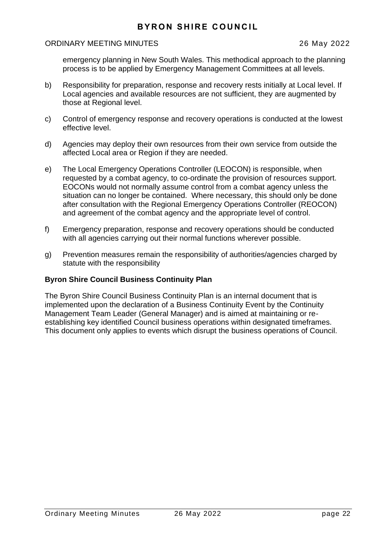#### ORDINARY MEETING MINUTES 26 May 2022

emergency planning in New South Wales. This methodical approach to the planning process is to be applied by Emergency Management Committees at all levels.

- b) Responsibility for preparation, response and recovery rests initially at Local level. If Local agencies and available resources are not sufficient, they are augmented by those at Regional level.
- c) Control of emergency response and recovery operations is conducted at the lowest effective level.
- d) Agencies may deploy their own resources from their own service from outside the affected Local area or Region if they are needed.
- e) The Local Emergency Operations Controller (LEOCON) is responsible, when requested by a combat agency, to co-ordinate the provision of resources support. EOCONs would not normally assume control from a combat agency unless the situation can no longer be contained. Where necessary, this should only be done after consultation with the Regional Emergency Operations Controller (REOCON) and agreement of the combat agency and the appropriate level of control.
- f) Emergency preparation, response and recovery operations should be conducted with all agencies carrying out their normal functions wherever possible.
- g) Prevention measures remain the responsibility of authorities/agencies charged by statute with the responsibility

## **Byron Shire Council Business Continuity Plan**

The Byron Shire Council Business Continuity Plan is an internal document that is implemented upon the declaration of a Business Continuity Event by the Continuity Management Team Leader (General Manager) and is aimed at maintaining or reestablishing key identified Council business operations within designated timeframes. This document only applies to events which disrupt the business operations of Council.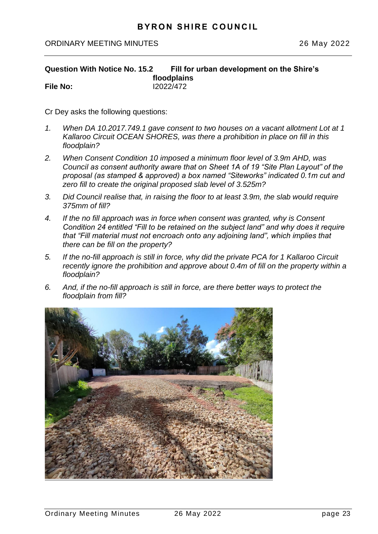## <span id="page-22-0"></span>ORDINARY MEETING MINUTES 26 May 2022

#### **Question With Notice No. 15.2 Fill for urban development on the Shire's floodplains File No:** I2022/472

Cr Dey asks the following questions:

- *1. When DA 10.2017.749.1 gave consent to two houses on a vacant allotment Lot at 1 Kallaroo Circuit OCEAN SHORES, was there a prohibition in place on fill in this floodplain?*
- *2. When Consent Condition 10 imposed a minimum floor level of 3.9m AHD, was Council as consent authority aware that on Sheet 1A of 19 "Site Plan Layout" of the proposal (as stamped & approved) a box named "Siteworks" indicated 0.1m cut and zero fill to create the original proposed slab level of 3.525m?*
- *3. Did Council realise that, in raising the floor to at least 3.9m, the slab would require 375mm of fill?*
- *4. If the no fill approach was in force when consent was granted, why is Consent Condition 24 entitled "Fill to be retained on the subject land" and why does it require that "Fill material must not encroach onto any adjoining land", which implies that there can be fill on the property?*
- *5. If the no-fill approach is still in force, why did the private PCA for 1 Kallaroo Circuit recently ignore the prohibition and approve about 0.4m of fill on the property within a floodplain?*
- *6. And, if the no-fill approach is still in force, are there better ways to protect the floodplain from fill?*

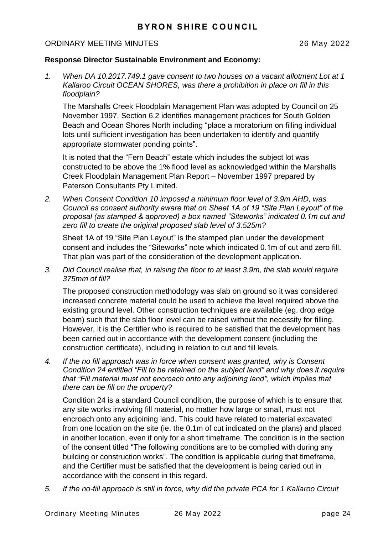#### ORDINARY MEETING MINUTES 26 May 2022

## **Response Director Sustainable Environment and Economy:**

*1. When DA 10.2017.749.1 gave consent to two houses on a vacant allotment Lot at 1 Kallaroo Circuit OCEAN SHORES, was there a prohibition in place on fill in this floodplain?* 

The Marshalls Creek Floodplain Management Plan was adopted by Council on 25 November 1997. Section 6.2 identifies management practices for South Golden Beach and Ocean Shores North including "place a moratorium on filling individual lots until sufficient investigation has been undertaken to identify and quantify appropriate stormwater ponding points".

It is noted that the "Fern Beach" estate which includes the subject lot was constructed to be above the 1% flood level as acknowledged within the Marshalls Creek Floodplain Management Plan Report – November 1997 prepared by Paterson Consultants Pty Limited.

*2. When Consent Condition 10 imposed a minimum floor level of 3.9m AHD, was Council as consent authority aware that on Sheet 1A of 19 "Site Plan Layout" of the proposal (as stamped & approved) a box named "Siteworks" indicated 0.1m cut and zero fill to create the original proposed slab level of 3.525m?* 

Sheet 1A of 19 "Site Plan Layout" is the stamped plan under the development consent and includes the "Siteworks" note which indicated 0.1m of cut and zero fill. That plan was part of the consideration of the development application.

*3. Did Council realise that, in raising the floor to at least 3.9m, the slab would require 375mm of fill?* 

The proposed construction methodology was slab on ground so it was considered increased concrete material could be used to achieve the level required above the existing ground level. Other construction techniques are available (eg. drop edge beam) such that the slab floor level can be raised without the necessity for filling. However, it is the Certifier who is required to be satisfied that the development has been carried out in accordance with the development consent (including the construction certificate), including in relation to cut and fill levels.

*4. If the no fill approach was in force when consent was granted, why is Consent Condition 24 entitled "Fill to be retained on the subject land" and why does it require that "Fill material must not encroach onto any adjoining land", which implies that there can be fill on the property?* 

Condition 24 is a standard Council condition, the purpose of which is to ensure that any site works involving fill material, no matter how large or small, must not encroach onto any adjoining land. This could have related to material excavated from one location on the site (ie. the 0.1m of cut indicated on the plans) and placed in another location, even if only for a short timeframe. The condition is in the section of the consent titled "The following conditions are to be complied with during any building or construction works". The condition is applicable during that timeframe, and the Certifier must be satisfied that the development is being caried out in accordance with the consent in this regard.

*5. If the no-fill approach is still in force, why did the private PCA for 1 Kallaroo Circuit*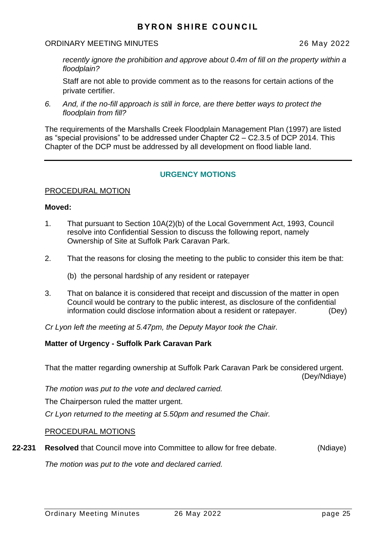## ORDINARY MEETING MINUTES 26 May 2022

*recently ignore the prohibition and approve about 0.4m of fill on the property within a floodplain?* 

Staff are not able to provide comment as to the reasons for certain actions of the private certifier.

*6. And, if the no-fill approach is still in force, are there better ways to protect the floodplain from fill?* 

The requirements of the Marshalls Creek Floodplain Management Plan (1997) are listed as "special provisions" to be addressed under Chapter C2 – C2.3.5 of DCP 2014. This Chapter of the DCP must be addressed by all development on flood liable land.

## **URGENCY MOTIONS**

#### PROCEDURAL MOTION

#### **Moved:**

- 1. That pursuant to Section 10A(2)(b) of the Local Government Act, 1993, Council resolve into Confidential Session to discuss the following report, namely Ownership of Site at Suffolk Park Caravan Park.
- 2. That the reasons for closing the meeting to the public to consider this item be that:
	- (b) the personal hardship of any resident or ratepayer
- 3. That on balance it is considered that receipt and discussion of the matter in open Council would be contrary to the public interest, as disclosure of the confidential information could disclose information about a resident or ratepayer. (Dey)

*Cr Lyon left the meeting at 5.47pm, the Deputy Mayor took the Chair.*

## **Matter of Urgency - Suffolk Park Caravan Park**

That the matter regarding ownership at Suffolk Park Caravan Park be considered urgent. (Dey/Ndiaye)

*The motion was put to the vote and declared carried.*

The Chairperson ruled the matter urgent.

*Cr Lyon returned to the meeting at 5.50pm and resumed the Chair.*

## PROCEDURAL MOTIONS

**22-231 Resolved** that Council move into Committee to allow for free debate. (Ndiaye)